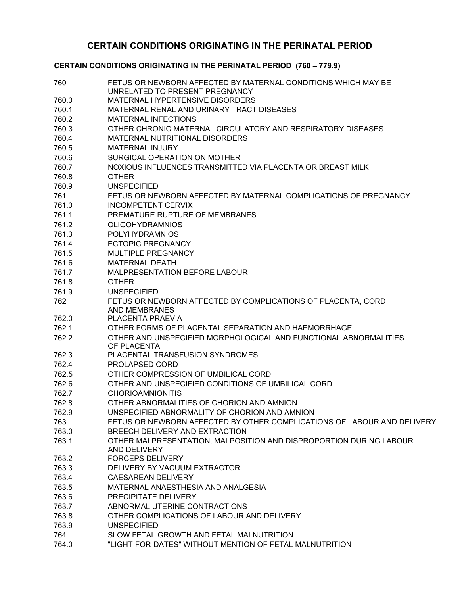## **CERTAIN CONDITIONS ORIGINATING IN THE PERINATAL PERIOD**

## **CERTAIN CONDITIONS ORIGINATING IN THE PERINATAL PERIOD (760 – 779.9)**

| 760   | FETUS OR NEWBORN AFFECTED BY MATERNAL CONDITIONS WHICH MAY BE<br>UNRELATED TO PRESENT PREGNANCY |
|-------|-------------------------------------------------------------------------------------------------|
| 760.0 | MATERNAL HYPERTENSIVE DISORDERS                                                                 |
| 760.1 | MATERNAL RENAL AND URINARY TRACT DISEASES                                                       |
| 760.2 | <b>MATERNAL INFECTIONS</b>                                                                      |
| 760.3 | OTHER CHRONIC MATERNAL CIRCULATORY AND RESPIRATORY DISEASES                                     |
| 760.4 | MATERNAL NUTRITIONAL DISORDERS                                                                  |
| 760.5 | <b>MATERNAL INJURY</b>                                                                          |
| 760.6 | SURGICAL OPERATION ON MOTHER                                                                    |
| 760.7 | NOXIOUS INFLUENCES TRANSMITTED VIA PLACENTA OR BREAST MILK                                      |
| 760.8 | <b>OTHER</b>                                                                                    |
| 760.9 | <b>UNSPECIFIED</b>                                                                              |
| 761   | FETUS OR NEWBORN AFFECTED BY MATERNAL COMPLICATIONS OF PREGNANCY                                |
| 761.0 | <b>INCOMPETENT CERVIX</b>                                                                       |
| 761.1 | PREMATURE RUPTURE OF MEMBRANES                                                                  |
| 761.2 | <b>OLIGOHYDRAMNIOS</b>                                                                          |
| 761.3 | <b>POLYHYDRAMNIOS</b>                                                                           |
| 761.4 | <b>ECTOPIC PREGNANCY</b>                                                                        |
| 761.5 | MULTIPLE PREGNANCY                                                                              |
| 761.6 | <b>MATERNAL DEATH</b>                                                                           |
| 761.7 | MALPRESENTATION BEFORE LABOUR                                                                   |
| 761.8 | <b>OTHER</b>                                                                                    |
| 761.9 | <b>UNSPECIFIED</b>                                                                              |
| 762   | FETUS OR NEWBORN AFFECTED BY COMPLICATIONS OF PLACENTA, CORD                                    |
|       | <b>AND MEMBRANES</b>                                                                            |
| 762.0 | PLACENTA PRAEVIA                                                                                |
| 762.1 | OTHER FORMS OF PLACENTAL SEPARATION AND HAEMORRHAGE                                             |
| 762.2 | OTHER AND UNSPECIFIED MORPHOLOGICAL AND FUNCTIONAL ABNORMALITIES<br>OF PLACENTA                 |
| 762.3 | PLACENTAL TRANSFUSION SYNDROMES                                                                 |
| 762.4 | PROLAPSED CORD                                                                                  |
| 762.5 | OTHER COMPRESSION OF UMBILICAL CORD                                                             |
| 762.6 | OTHER AND UNSPECIFIED CONDITIONS OF UMBILICAL CORD                                              |
| 762.7 | <b>CHORIOAMNIONITIS</b>                                                                         |
| 762.8 | OTHER ABNORMALITIES OF CHORION AND AMNION                                                       |
| 762.9 | UNSPECIFIED ABNORMALITY OF CHORION AND AMNION                                                   |
| 763   | FETUS OR NEWBORN AFFECTED BY OTHER COMPLICATIONS OF LABOUR AND DELIVERY                         |
| 763.0 | BREECH DELIVERY AND EXTRACTION                                                                  |
| 763.1 | OTHER MALPRESENTATION, MALPOSITION AND DISPROPORTION DURING LABOUR<br>AND DELIVERY              |
| 763.2 | <b>FORCEPS DELIVERY</b>                                                                         |
| 763.3 | DELIVERY BY VACUUM EXTRACTOR                                                                    |
| 763.4 | <b>CAESAREAN DELIVERY</b>                                                                       |
| 763.5 | MATERNAL ANAESTHESIA AND ANALGESIA                                                              |
| 763.6 | PRECIPITATE DELIVERY                                                                            |
| 763.7 | ABNORMAL UTERINE CONTRACTIONS                                                                   |
| 763.8 | OTHER COMPLICATIONS OF LABOUR AND DELIVERY                                                      |
| 763.9 | <b>UNSPECIFIED</b>                                                                              |
| 764   | SLOW FETAL GROWTH AND FETAL MALNUTRITION                                                        |
| 764.0 | "LIGHT-FOR-DATES" WITHOUT MENTION OF FETAL MALNUTRITION                                         |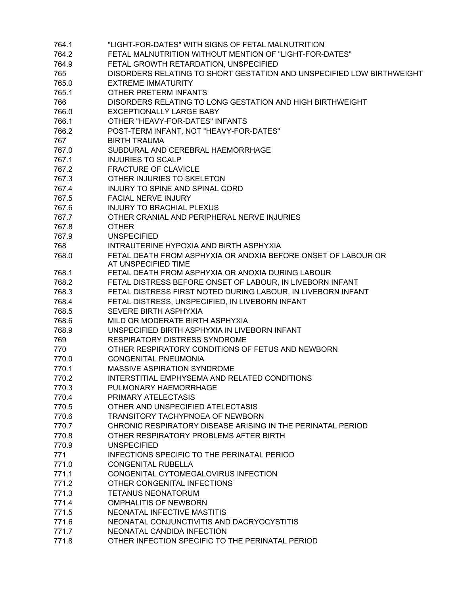| 764.1 | "LIGHT-FOR-DATES" WITH SIGNS OF FETAL MALNUTRITION                    |
|-------|-----------------------------------------------------------------------|
| 764.2 | FETAL MALNUTRITION WITHOUT MENTION OF "LIGHT-FOR-DATES"               |
| 764.9 | FETAL GROWTH RETARDATION, UNSPECIFIED                                 |
| 765   | DISORDERS RELATING TO SHORT GESTATION AND UNSPECIFIED LOW BIRTHWEIGHT |
| 765.0 | <b>EXTREME IMMATURITY</b>                                             |
| 765.1 | OTHER PRETERM INFANTS                                                 |
| 766   | DISORDERS RELATING TO LONG GESTATION AND HIGH BIRTHWEIGHT             |
| 766.0 | <b>EXCEPTIONALLY LARGE BABY</b>                                       |
| 766.1 | OTHER "HEAVY-FOR-DATES" INFANTS                                       |
| 766.2 | POST-TERM INFANT, NOT "HEAVY-FOR-DATES"                               |
| 767   | <b>BIRTH TRAUMA</b>                                                   |
| 767.0 | SUBDURAL AND CEREBRAL HAEMORRHAGE                                     |
| 767.1 | <b>INJURIES TO SCALP</b>                                              |
| 767.2 |                                                                       |
|       | <b>FRACTURE OF CLAVICLE</b>                                           |
| 767.3 | OTHER INJURIES TO SKELETON                                            |
| 767.4 | INJURY TO SPINE AND SPINAL CORD                                       |
| 767.5 | <b>FACIAL NERVE INJURY</b>                                            |
| 767.6 | <b>INJURY TO BRACHIAL PLEXUS</b>                                      |
| 767.7 | OTHER CRANIAL AND PERIPHERAL NERVE INJURIES                           |
| 767.8 | <b>OTHER</b>                                                          |
| 767.9 | <b>UNSPECIFIED</b>                                                    |
| 768   | INTRAUTERINE HYPOXIA AND BIRTH ASPHYXIA                               |
| 768.0 | FETAL DEATH FROM ASPHYXIA OR ANOXIA BEFORE ONSET OF LABOUR OR         |
|       | AT UNSPECIFIED TIME                                                   |
| 768.1 | FETAL DEATH FROM ASPHYXIA OR ANOXIA DURING LABOUR                     |
| 768.2 | FETAL DISTRESS BEFORE ONSET OF LABOUR, IN LIVEBORN INFANT             |
| 768.3 | FETAL DISTRESS FIRST NOTED DURING LABOUR, IN LIVEBORN INFANT          |
| 768.4 | FETAL DISTRESS, UNSPECIFIED, IN LIVEBORN INFANT                       |
| 768.5 | SEVERE BIRTH ASPHYXIA                                                 |
| 768.6 | MILD OR MODERATE BIRTH ASPHYXIA                                       |
| 768.9 | UNSPECIFIED BIRTH ASPHYXIA IN LIVEBORN INFANT                         |
| 769   | <b>RESPIRATORY DISTRESS SYNDROME</b>                                  |
| 770   | OTHER RESPIRATORY CONDITIONS OF FETUS AND NEWBORN                     |
| 770.0 | <b>CONGENITAL PNEUMONIA</b>                                           |
| 770.1 | MASSIVE ASPIRATION SYNDROME                                           |
| 770.2 | INTERSTITIAL EMPHYSEMA AND RELATED CONDITIONS                         |
| 770.3 | PULMONARY HAEMORRHAGE                                                 |
| 770.4 | PRIMARY ATELECTASIS                                                   |
| 770.5 | OTHER AND UNSPECIFIED ATELECTASIS                                     |
| 770.6 | TRANSITORY TACHYPNOEA OF NEWBORN                                      |
| 770.7 | CHRONIC RESPIRATORY DISEASE ARISING IN THE PERINATAL PERIOD           |
| 770.8 | OTHER RESPIRATORY PROBLEMS AFTER BIRTH                                |
| 770.9 | <b>UNSPECIFIED</b>                                                    |
| 771   | <b>INFECTIONS SPECIFIC TO THE PERINATAL PERIOD</b>                    |
| 771.0 | <b>CONGENITAL RUBELLA</b>                                             |
| 771.1 | CONGENITAL CYTOMEGALOVIRUS INFECTION                                  |
| 771.2 | OTHER CONGENITAL INFECTIONS                                           |
| 771.3 | <b>TETANUS NEONATORUM</b>                                             |
| 771.4 | <b>OMPHALITIS OF NEWBORN</b>                                          |
| 771.5 | NEONATAL INFECTIVE MASTITIS                                           |
| 771.6 | NEONATAL CONJUNCTIVITIS AND DACRYOCYSTITIS                            |
| 771.7 | NEONATAL CANDIDA INFECTION                                            |
| 771.8 | OTHER INFECTION SPECIFIC TO THE PERINATAL PERIOD                      |
|       |                                                                       |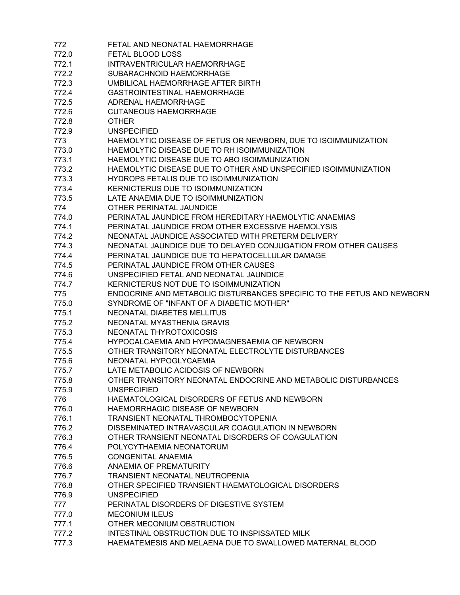| 772   | FETAL AND NEONATAL HAEMORRHAGE                                         |
|-------|------------------------------------------------------------------------|
| 772.0 | FETAL BLOOD LOSS                                                       |
| 772.1 | INTRAVENTRICULAR HAEMORRHAGE                                           |
| 772.2 | SUBARACHNOID HAEMORRHAGE                                               |
| 772.3 | UMBILICAL HAEMORRHAGE AFTER BIRTH                                      |
| 772.4 | <b>GASTROINTESTINAL HAEMORRHAGE</b>                                    |
| 772.5 | ADRENAL HAEMORRHAGE                                                    |
| 772.6 | <b>CUTANEOUS HAEMORRHAGE</b>                                           |
| 772.8 | <b>OTHER</b>                                                           |
| 772.9 | <b>UNSPECIFIED</b>                                                     |
| 773   | HAEMOLYTIC DISEASE OF FETUS OR NEWBORN, DUE TO ISOIMMUNIZATION         |
| 773.0 | HAEMOLYTIC DISEASE DUE TO RH ISOIMMUNIZATION                           |
| 773.1 | HAEMOLYTIC DISEASE DUE TO ABO ISOIMMUNIZATION                          |
| 773.2 | HAEMOLYTIC DISEASE DUE TO OTHER AND UNSPECIFIED ISOIMMUNIZATION        |
|       | HYDROPS FETALIS DUE TO ISOIMMUNIZATION                                 |
| 773.3 | KERNICTERUS DUE TO ISOIMMUNIZATION                                     |
| 773.4 |                                                                        |
| 773.5 | LATE ANAEMIA DUE TO ISOIMMUNIZATION                                    |
| 774   | OTHER PERINATAL JAUNDICE                                               |
| 774.0 | PERINATAL JAUNDICE FROM HEREDITARY HAEMOLYTIC ANAEMIAS                 |
| 774.1 | PERINATAL JAUNDICE FROM OTHER EXCESSIVE HAEMOLYSIS                     |
| 774.2 | NEONATAL JAUNDICE ASSOCIATED WITH PRETERM DELIVERY                     |
| 774.3 | NEONATAL JAUNDICE DUE TO DELAYED CONJUGATION FROM OTHER CAUSES         |
| 774.4 | PERINATAL JAUNDICE DUE TO HEPATOCELLULAR DAMAGE                        |
| 774.5 | PERINATAL JAUNDICE FROM OTHER CAUSES                                   |
| 774.6 | UNSPECIFIED FETAL AND NEONATAL JAUNDICE                                |
| 774.7 | KERNICTERUS NOT DUE TO ISOIMMUNIZATION                                 |
| 775   | ENDOCRINE AND METABOLIC DISTURBANCES SPECIFIC TO THE FETUS AND NEWBORN |
| 775.0 | SYNDROME OF "INFANT OF A DIABETIC MOTHER"                              |
| 775.1 | NEONATAL DIABETES MELLITUS                                             |
| 775.2 | NEONATAL MYASTHENIA GRAVIS                                             |
| 775.3 | NEONATAL THYROTOXICOSIS                                                |
| 775.4 | HYPOCALCAEMIA AND HYPOMAGNESAEMIA OF NEWBORN                           |
| 775.5 | OTHER TRANSITORY NEONATAL ELECTROLYTE DISTURBANCES                     |
| 775.6 | NEONATAL HYPOGLYCAEMIA                                                 |
| 775.7 | LATE METABOLIC ACIDOSIS OF NEWBORN                                     |
| 775.8 | OTHER TRANSITORY NEONATAL ENDOCRINE AND METABOLIC DISTURBANCES         |
| 775.9 | <b>UNSPECIFIED</b>                                                     |
| 776   | HAEMATOLOGICAL DISORDERS OF FETUS AND NEWBORN                          |
| 776.0 | HAEMORRHAGIC DISEASE OF NEWBORN                                        |
| 776.1 | TRANSIENT NEONATAL THROMBOCYTOPENIA                                    |
| 776.2 | DISSEMINATED INTRAVASCULAR COAGULATION IN NEWBORN                      |
| 776.3 | OTHER TRANSIENT NEONATAL DISORDERS OF COAGULATION                      |
| 776.4 | POLYCYTHAEMIA NEONATORUM                                               |
| 776.5 | <b>CONGENITAL ANAEMIA</b>                                              |
| 776.6 | <b>ANAEMIA OF PREMATURITY</b>                                          |
| 776.7 | TRANSIENT NEONATAL NEUTROPENIA                                         |
| 776.8 | OTHER SPECIFIED TRANSIENT HAEMATOLOGICAL DISORDERS                     |
|       |                                                                        |
| 776.9 | <b>UNSPECIFIED</b>                                                     |
| 777   | PERINATAL DISORDERS OF DIGESTIVE SYSTEM                                |
| 777.0 | <b>MECONIUM ILEUS</b>                                                  |
| 777.1 | OTHER MECONIUM OBSTRUCTION                                             |
| 777.2 | INTESTINAL OBSTRUCTION DUE TO INSPISSATED MILK                         |
| 777.3 | HAEMATEMESIS AND MELAENA DUE TO SWALLOWED MATERNAL BLOOD               |